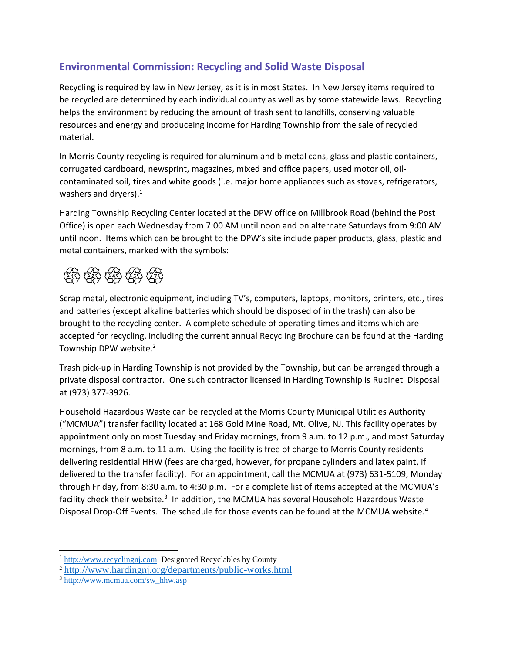## **Environmental Commission: Recycling and Solid Waste Disposal**

Recycling is required by law in New Jersey, as it is in most States. In New Jersey items required to be recycled are determined by each individual county as well as by some statewide laws. Recycling helps the environment by reducing the amount of trash sent to landfills, conserving valuable resources and energy and produceing income for Harding Township from the sale of recycled material.

In Morris County recycling is required for aluminum and bimetal cans, glass and plastic containers, corrugated cardboard, newsprint, magazines, mixed and office papers, used motor oil, oilcontaminated soil, tires and white goods (i.e. major home appliances such as stoves, refrigerators, washers and dryers). $<sup>1</sup>$ </sup>

Harding Township Recycling Center located at the DPW office on Millbrook Road (behind the Post Office) is open each Wednesday from 7:00 AM until noon and on alternate Saturdays from 9:00 AM until noon. Items which can be brought to the DPW's site include paper products, glass, plastic and metal containers, marked with the symbols:



Scrap metal, electronic equipment, including TV's, computers, laptops, monitors, printers, etc., tires and batteries (except alkaline batteries which should be disposed of in the trash) can also be brought to the recycling center. A complete schedule of operating times and items which are accepted for recycling, including the current annual Recycling Brochure can be found at the Harding Township DPW website.<sup>2</sup>

Trash pick-up in Harding Township is not provided by the Township, but can be arranged through a private disposal contractor. One such contractor licensed in Harding Township is Rubineti Disposal at (973) 377-3926.

Household Hazardous Waste can be recycled at the Morris County Municipal Utilities Authority ("MCMUA") transfer facility located at 168 Gold Mine Road, Mt. Olive, NJ. This facility operates by appointment only on most Tuesday and Friday mornings, from 9 a.m. to 12 p.m., and most Saturday mornings, from 8 a.m. to 11 a.m. Using the facility is free of charge to Morris County residents delivering residential HHW (fees are charged, however, for propane cylinders and latex paint, if delivered to the transfer facility). For an appointment, call the MCMUA at (973) 631-5109, Monday through Friday, from 8:30 a.m. to 4:30 p.m. For a complete list of items accepted at the MCMUA's facility check their website.<sup>3</sup> In addition, the MCMUA has several Household Hazardous Waste Disposal Drop-Off Events. The schedule for those events can be found at the MCMUA website.<sup>4</sup>

 $\overline{a}$ 

<sup>&</sup>lt;sup>1</sup> [http://www.recyclingnj.com](http://www.recyclingnj.com/) Designated Recyclables by County

<sup>2</sup> <http://www.hardingnj.org/departments/public-works.html>

<sup>3</sup> [http://www.mcmua.com/sw\\_hhw.asp](http://www.mcmua.com/sw_hhw.asp)